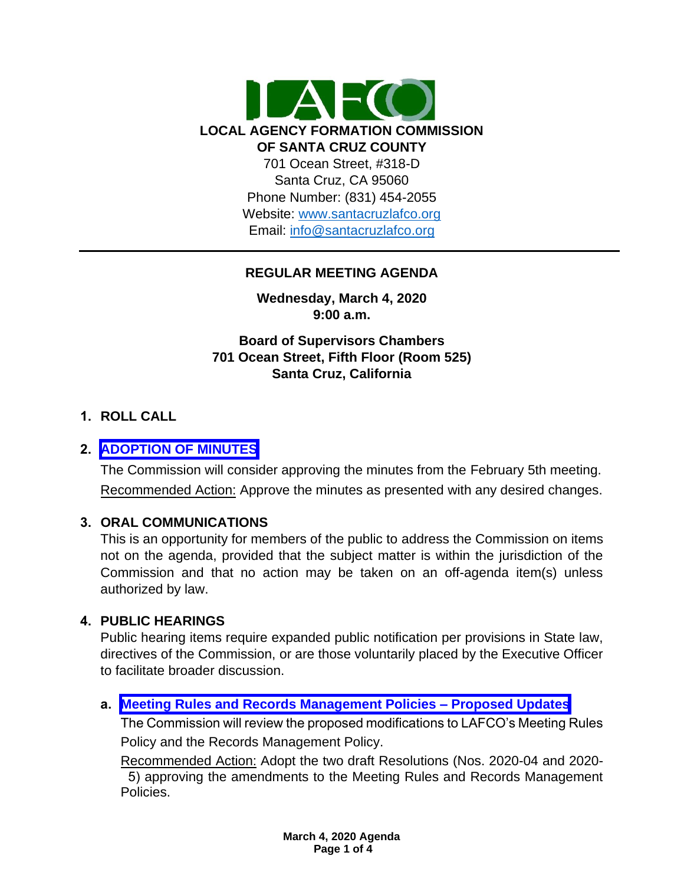

# **REGULAR MEETING AGENDA**

**Wednesday, March 4, 2020 9:00 a.m.**

**Board of Supervisors Chambers 701 Ocean Street, Fifth Floor (Room 525) Santa Cruz, California**

# **1. ROLL CALL**

# **2. [ADOPTION OF MINUTES](https://www.santacruzlafco.org/wp-content/uploads/2020/02/2.0-Draft-Minutes-from-Feb-Meeting.pdf)**

The Commission will consider approving the minutes from the February 5th meeting. Recommended Action: Approve the minutes as presented with any desired changes.

# **3. ORAL COMMUNICATIONS**

This is an opportunity for members of the public to address the Commission on items not on the agenda, provided that the subject matter is within the jurisdiction of the Commission and that no action may be taken on an off-agenda item(s) unless authorized by law.

#### **4. PUBLIC HEARINGS**

Public hearing items require expanded public notification per provisions in State law, directives of the Commission, or are those voluntarily placed by the Executive Officer to facilitate broader discussion.

# **a. [Meeting Rules and Records Management Policies –](https://www.santacruzlafco.org/wp-content/uploads/2020/02/4a.0-Policy-Updates-Staff-Report-FINAL.pdf) Proposed Updates**

The Commission will review the proposed modifications to LAFCO's Meeting Rules Policy and the Records Management Policy.

Recommended Action: Adopt the two draft Resolutions (Nos. 2020-04 and 2020- 5) approving the amendments to the Meeting Rules and Records Management Policies.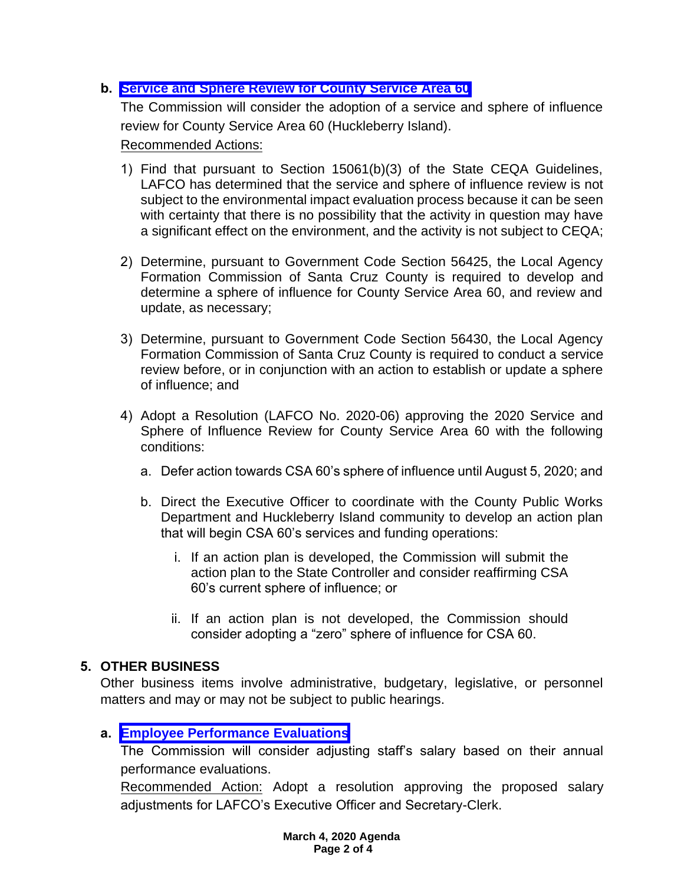# **b. [Service and Sphere Review for County Service Area 60](https://www.santacruzlafco.org/wp-content/uploads/2020/02/4b.0-CSA-60-MSR-Staff-Report-FINALrev.pdf)**

The Commission will consider the adoption of a service and sphere of influence review for County Service Area 60 (Huckleberry Island).

Recommended Actions:

- 1) Find that pursuant to Section 15061(b)(3) of the State CEQA Guidelines, LAFCO has determined that the service and sphere of influence review is not subject to the environmental impact evaluation process because it can be seen with certainty that there is no possibility that the activity in question may have a significant effect on the environment, and the activity is not subject to CEQA;
- 2) Determine, pursuant to Government Code Section 56425, the Local Agency Formation Commission of Santa Cruz County is required to develop and determine a sphere of influence for County Service Area 60, and review and update, as necessary;
- 3) Determine, pursuant to Government Code Section 56430, the Local Agency Formation Commission of Santa Cruz County is required to conduct a service review before, or in conjunction with an action to establish or update a sphere of influence; and
- 4) Adopt a Resolution (LAFCO No. 2020-06) approving the 2020 Service and Sphere of Influence Review for County Service Area 60 with the following conditions:
	- a. Defer action towards CSA 60's sphere of influence until August 5, 2020; and
	- b. Direct the Executive Officer to coordinate with the County Public Works Department and Huckleberry Island community to develop an action plan that will begin CSA 60's services and funding operations:
		- i. If an action plan is developed, the Commission will submit the action plan to the State Controller and consider reaffirming CSA 60's current sphere of influence; or
		- ii. If an action plan is not developed, the Commission should consider adopting a "zero" sphere of influence for CSA 60.

# **5. OTHER BUSINESS**

Other business items involve administrative, budgetary, legislative, or personnel matters and may or may not be subject to public hearings.

# **a. [Employee Performance Evaluations](https://www.santacruzlafco.org/wp-content/uploads/2020/02/5a.0-Performance-Evaluations-Staff-Report-FINAL.pdf)**

The Commission will consider adjusting staff's salary based on their annual performance evaluations.

Recommended Action: Adopt a resolution approving the proposed salary adjustments for LAFCO's Executive Officer and Secretary-Clerk.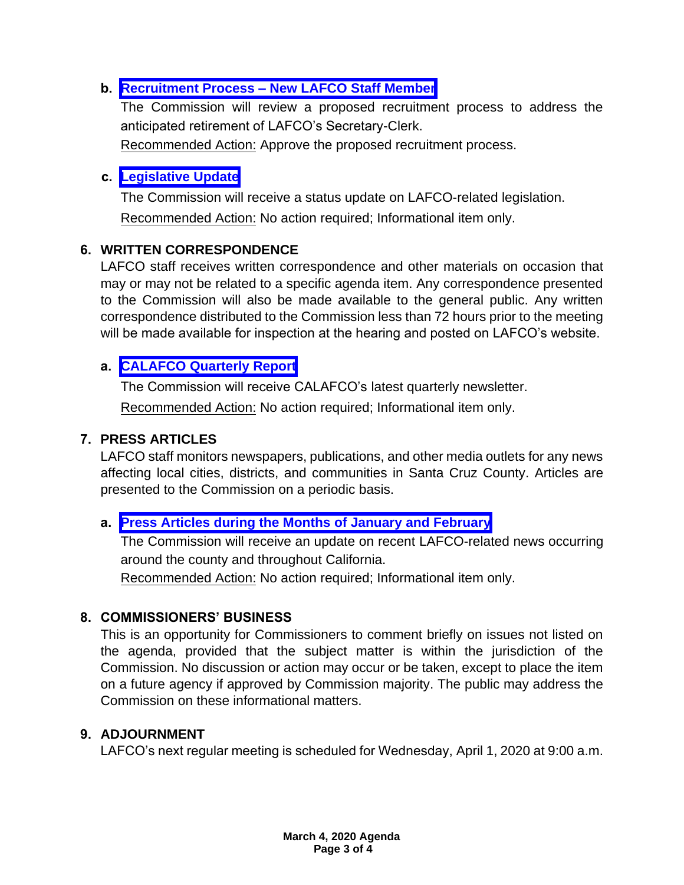# **b. Recruitment Process – [New LAFCO Staff Member](https://www.santacruzlafco.org/wp-content/uploads/2020/02/5b.0-Recruitment-Process-Staff-Report-FINAL.pdf)**

The Commission will review a proposed recruitment process to address the anticipated retirement of LAFCO's Secretary-Clerk.

Recommended Action: Approve the proposed recruitment process.

# **c. [Legislative Update](https://www.santacruzlafco.org/wp-content/uploads/2020/02/5c.0-Leg-Update-Staff-Report-FINAL.pdf)**

The Commission will receive a status update on LAFCO-related legislation. Recommended Action: No action required; Informational item only.

# **6. WRITTEN CORRESPONDENCE**

LAFCO staff receives written correspondence and other materials on occasion that may or may not be related to a specific agenda item. Any correspondence presented to the Commission will also be made available to the general public. Any written correspondence distributed to the Commission less than 72 hours prior to the meeting will be made available for inspection at the hearing and posted on LAFCO's website.

# **a. [CALAFCO Quarterly Report](https://www.santacruzlafco.org/wp-content/uploads/2020/02/6a.0-CALAFCO-Quarterly-Report-Staff-Report-FINAL.pdf)**

The Commission will receive CALAFCO's latest quarterly newsletter. Recommended Action: No action required; Informational item only.

# **7. PRESS ARTICLES**

LAFCO staff monitors newspapers, publications, and other media outlets for any news affecting local cities, districts, and communities in Santa Cruz County. Articles are presented to the Commission on a periodic basis.

# **a. [Press Articles during the Months of January and February](https://www.santacruzlafco.org/wp-content/uploads/2020/02/7a.0-Press-Articles-Staff-Report-FINAL.pdf)**

The Commission will receive an update on recent LAFCO-related news occurring around the county and throughout California.

Recommended Action: No action required; Informational item only.

# **8. COMMISSIONERS' BUSINESS**

This is an opportunity for Commissioners to comment briefly on issues not listed on the agenda, provided that the subject matter is within the jurisdiction of the Commission. No discussion or action may occur or be taken, except to place the item on a future agency if approved by Commission majority. The public may address the Commission on these informational matters.

# **9. ADJOURNMENT**

LAFCO's next regular meeting is scheduled for Wednesday, April 1, 2020 at 9:00 a.m.